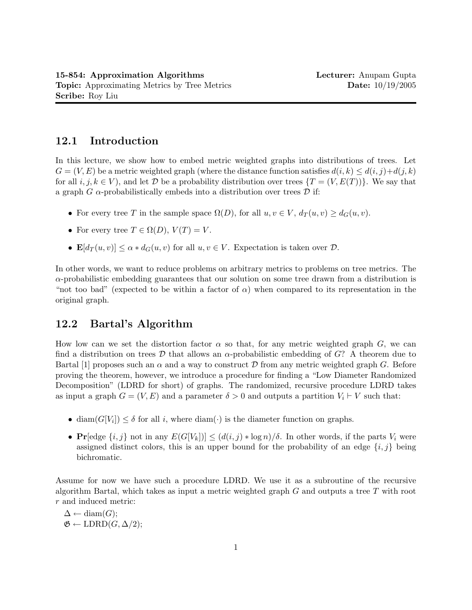# 12.1 Introduction

In this lecture, we show how to embed metric weighted graphs into distributions of trees. Let  $G = (V, E)$  be a metric weighted graph (where the distance function satisfies  $d(i, k) \leq d(i, j) + d(j, k)$ for all  $i, j, k \in V$ , and let D be a probability distribution over trees  $\{T = (V, E(T))\}\$ . We say that a graph G  $\alpha$ -probabilistically embeds into a distribution over trees  $\mathcal D$  if:

- For every tree T in the sample space  $\Omega(D)$ , for all  $u, v \in V$ ,  $d_T(u, v) \geq d_G(u, v)$ .
- For every tree  $T \in \Omega(D)$ ,  $V(T) = V$ .
- $\mathbf{E}[d_T(u, v)] \leq \alpha * d_G(u, v)$  for all  $u, v \in V$ . Expectation is taken over  $\mathcal{D}$ .

In other words, we want to reduce problems on arbitrary metrics to problems on tree metrics. The  $\alpha$ -probabilistic embedding guarantees that our solution on some tree drawn from a distribution is "not too bad" (expected to be within a factor of  $\alpha$ ) when compared to its representation in the original graph.

# 12.2 Bartal's Algorithm

How low can we set the distortion factor  $\alpha$  so that, for any metric weighted graph G, we can find a distribution on trees D that allows an  $\alpha$ -probabilistic embedding of G? A theorem due to Bartal [1] proposes such an  $\alpha$  and a way to construct D from any metric weighted graph G. Before proving the theorem, however, we introduce a procedure for finding a "Low Diameter Randomized Decomposition" (LDRD for short) of graphs. The randomized, recursive procedure LDRD takes as input a graph  $G = (V, E)$  and a parameter  $\delta > 0$  and outputs a partition  $V_i \vdash V$  such that:

- diam $(G[V_i]) \leq \delta$  for all i, where diam( $\cdot$ ) is the diameter function on graphs.
- Pr[edge  $\{i, j\}$  not in any  $E(G[V_k]) \leq (d(i, j) * \log n)/\delta$ . In other words, if the parts  $V_i$  were assigned distinct colors, this is an upper bound for the probability of an edge  $\{i, j\}$  being bichromatic.

Assume for now we have such a procedure LDRD. We use it as a subroutine of the recursive algorithm Bartal, which takes as input a metric weighted graph  $G$  and outputs a tree  $T$  with root r and induced metric:

 $\Delta \leftarrow \text{diam}(G);$  $\mathfrak{G} \leftarrow \text{LDRD}(G, \Delta/2);$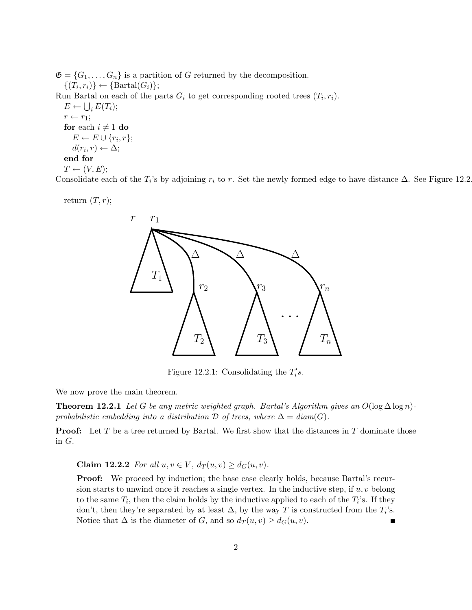$\mathfrak{G} = \{G_1, \ldots, G_n\}$  is a partition of G returned by the decomposition.  $\{(T_i,r_i)\}\leftarrow {\text{Bartal}(G_i)};$ Run Bartal on each of the parts  $G_i$  to get corresponding rooted trees  $(T_i, r_i)$ .  $E \leftarrow \bigcup_i E(T_i);$  $r \leftarrow r_1;$ for each  $i \neq 1$  do  $E \leftarrow E \cup \{r_i, r\};$  $d(r_i,r) \leftarrow \Delta;$ end for  $T \leftarrow (V, E);$ 

Consolidate each of the  $T_i$ 's by adjoining  $r_i$  to r. Set the newly formed edge to have distance  $\Delta$ . See Figure 12.2.

return  $(T, r)$ ;



Figure 12.2.1: Consolidating the  $T_i's$ .

We now prove the main theorem.

**Theorem 12.2.1** Let G be any metric weighted graph. Bartal's Algorithm gives an  $O(\log \Delta \log n)$ probabilistic embedding into a distribution  $\mathcal D$  of trees, where  $\Delta = \text{diam}(G)$ .

**Proof:** Let T be a tree returned by Bartal. We first show that the distances in T dominate those in G.

Claim 12.2.2 For all  $u, v \in V$ ,  $d_T(u, v) \geq d_G(u, v)$ .

**Proof:** We proceed by induction; the base case clearly holds, because Bartal's recursion starts to unwind once it reaches a single vertex. In the inductive step, if  $u, v$  belong to the same  $T_i$ , then the claim holds by the inductive applied to each of the  $T_i$ 's. If they don't, then they're separated by at least  $\Delta$ , by the way T is constructed from the  $T_i$ 's. Notice that  $\Delta$  is the diameter of G, and so  $d_T(u, v) \geq d_G(u, v)$ . ٠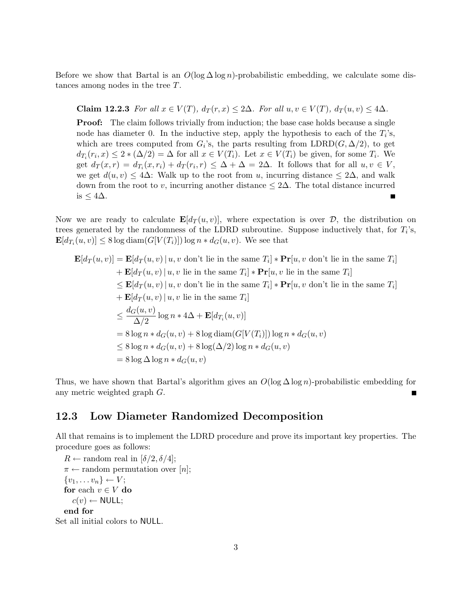Before we show that Bartal is an  $O(\log \Delta \log n)$ -probabilistic embedding, we calculate some distances among nodes in the tree T.

Claim 12.2.3 For all  $x \in V(T)$ ,  $d_T(r, x) \leq 2\Delta$ . For all  $u, v \in V(T)$ ,  $d_T(u, v) \leq 4\Delta$ .

**Proof:** The claim follows trivially from induction; the base case holds because a single node has diameter 0. In the inductive step, apply the hypothesis to each of the  $T_i$ 's, which are trees computed from  $G_i$ 's, the parts resulting from  $\text{LDRD}(G, \Delta/2)$ , to get  $d_{T_i}(r_i, x) \leq 2 * (\Delta/2) = \Delta$  for all  $x \in V(T_i)$ . Let  $x \in V(T_i)$  be given, for some  $T_i$ . We get  $d_T(x,r) = d_{T_i}(x,r_i) + d_T(r_i,r) \leq \Delta + \Delta = 2\Delta$ . It follows that for all  $u, v \in V$ , we get  $d(u, v) \leq 4\Delta$ : Walk up to the root from u, incurring distance  $\leq 2\Delta$ , and walk down from the root to v, incurring another distance  $\leq 2\Delta$ . The total distance incurred is ≤ 4∆. Г

Now we are ready to calculate  $\mathbf{E}[d_T(u, v)]$ , where expectation is over  $\mathcal{D}$ , the distribution on trees generated by the randomness of the LDRD subroutine. Suppose inductively that, for  $T_i$ 's,  $\mathbf{E}[d_{T_i}(u,v)] \leq 8 \log \text{diam}(G[V(T_i)]) \log n * d_G(u,v)$ . We see that

$$
\mathbf{E}[d_T(u, v)] = \mathbf{E}[d_T(u, v) | u, v \text{ don't lie in the same } T_i] * \mathbf{Pr}[u, v \text{ don't lie in the same } T_i]
$$
  
+ 
$$
\mathbf{E}[d_T(u, v) | u, v \text{ lie in the same } T_i] * \mathbf{Pr}[u, v \text{ lie in the same } T_i]
$$
  

$$
\leq \mathbf{E}[d_T(u, v) | u, v \text{ don't lie in the same } T_i] * \mathbf{Pr}[u, v \text{ don't lie in the same } T_i]
$$
  
+ 
$$
\mathbf{E}[d_T(u, v) | u, v \text{ lie in the same } T_i]
$$
  

$$
\leq \frac{d_G(u, v)}{\Delta/2} \log n * 4\Delta + \mathbf{E}[d_{T_i}(u, v)]
$$
  
= 
$$
8 \log n * d_G(u, v) + 8 \log \text{diam}(G[V(T_i)]) \log n * d_G(u, v)
$$
  

$$
\leq 8 \log n * d_G(u, v) + 8 \log(\Delta/2) \log n * d_G(u, v)
$$
  
= 
$$
8 \log \Delta \log n * d_G(u, v)
$$

Thus, we have shown that Bartal's algorithm gives an  $O(\log \Delta \log n)$ -probabilistic embedding for any metric weighted graph G.

### 12.3 Low Diameter Randomized Decomposition

All that remains is to implement the LDRD procedure and prove its important key properties. The procedure goes as follows:

 $R \leftarrow$  random real in  $[\delta/2, \delta/4]$ ;  $\pi \leftarrow$  random permutation over [n];  $\{v_1, \ldots v_n\} \leftarrow V;$ for each  $v \in V$  do  $c(v) \leftarrow \textsf{NULL};$ end for

Set all initial colors to NULL.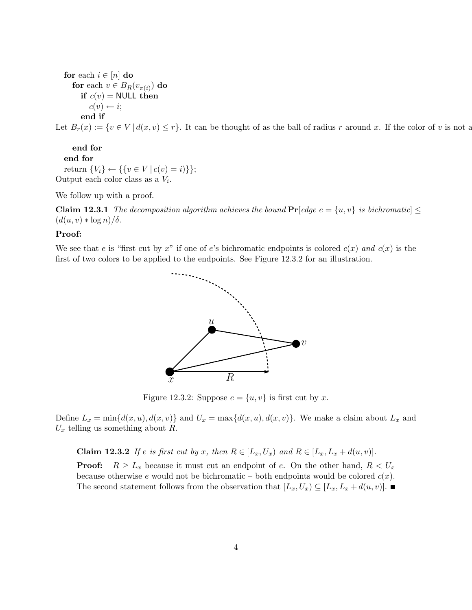for each  $i \in [n]$  do for each  $v\in B_R(v_{\pi(i)})$  do if  $c(v) =$  NULL then  $c(v) \leftarrow i$ ; end if

Let  $B_r(x) := \{v \in V \mid d(x, v) \leq r\}$ . It can be thought of as the ball of radius r around x. If the color of v is not as

end for end for return  $\{V_i\}$  ←  $\{\{v \in V | c(v) = i)\}\};$ Output each color class as a  $V_i$ .

We follow up with a proof.

**Claim 12.3.1** The decomposition algorithm achieves the bound  $Pr[edge e = \{u, v\}$  is bichromatic  $\le$  $(d(u, v) * log n)/\delta$ .

#### Proof:

We see that e is "first cut by x" if one of e's bichromatic endpoints is colored  $c(x)$  and  $c(x)$  is the first of two colors to be applied to the endpoints. See Figure 12.3.2 for an illustration.



Figure 12.3.2: Suppose  $e = \{u, v\}$  is first cut by x.

Define  $L_x = \min\{d(x, u), d(x, v)\}\$  and  $U_x = \max\{d(x, u), d(x, v)\}\$ . We make a claim about  $L_x$  and  $U_x$  telling us something about R.

**Claim 12.3.2** If e is first cut by x, then  $R \in [L_x, U_x)$  and  $R \in [L_x, L_x + d(u, v)].$ 

**Proof:**  $R \geq L_x$  because it must cut an endpoint of e. On the other hand,  $R < U_x$ because otherwise e would not be bichromatic – both endpoints would be colored  $c(x)$ . The second statement follows from the observation that  $[L_x, U_x) \subseteq [L_x, L_x + d(u, v)].$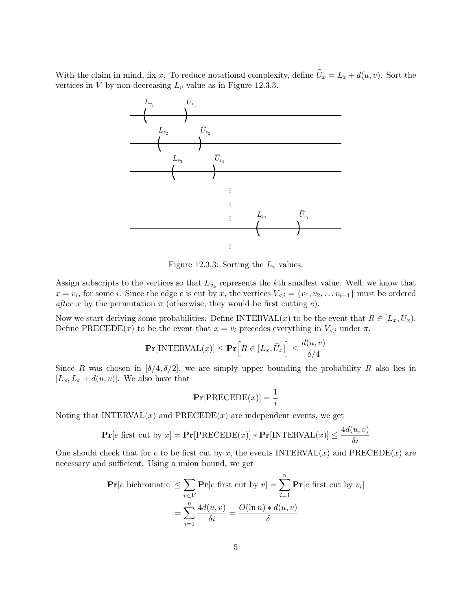With the claim in mind, fix x. To reduce notational complexity, define  $\hat{U}_x = L_x + d(u, v)$ . Sort the vertices in  $V$  by non-decreasing  $L_v$  value as in Figure 12.3.3.



Figure 12.3.3: Sorting the  $L_v$  values.

Assign subscripts to the vertices so that  $L_{v_k}$  represents the kth smallest value. Well, we know that  $x = v_i$ , for some i. Since the edge e is cut by x, the vertices  $V_{\leq i} = \{v_1, v_2, \dots v_{i-1}\}\$  must be ordered after x by the permutation  $\pi$  (otherwise, they would be first cutting e).

Now we start deriving some probabilities. Define INTERVAL(x) to be the event that  $R \in [L_x, U_x)$ . Define PRECEDE(x) to be the event that  $x = v_i$  precedes everything in  $V_{\leq i}$  under  $\pi$ .

$$
\mathbf{Pr}[\text{INTERVAL}(x)] \leq \mathbf{Pr}\Big[R \in [L_x, \widehat{U}_x]\Big] \leq \frac{d(u, v)}{\delta/4}
$$

Since R was chosen in  $[\delta/4, \delta/2]$ , we are simply upper bounding the probability R also lies in  $[L_x, L_x + d(u, v)].$  We also have that

$$
\Pr[\text{PRECEDE}(x)] = \frac{1}{i}
$$

Noting that  $INTERVAL(x)$  and  $PRECEDE(x)$  are independent events, we get

$$
\mathbf{Pr}[e \text{ first cut by } x] = \mathbf{Pr}[\text{PRECEDE}(x)] * \mathbf{Pr}[\text{INTERVAL}(x)] \le \frac{4d(u, v)}{\delta i}
$$

One should check that for e to be first cut by x, the events  $\text{INTERVAL}(x)$  and  $\text{PRECEDE}(x)$  are necessary and sufficient. Using a union bound, we get

$$
\mathbf{Pr}[e \text{ bichromatic}] \le \sum_{v \in V} \mathbf{Pr}[e \text{ first cut by } v] = \sum_{i=1}^{n} \mathbf{Pr}[e \text{ first cut by } v_i]
$$

$$
= \sum_{i=1}^{n} \frac{4d(u, v)}{\delta i} = \frac{O(\ln n) * d(u, v)}{\delta}
$$